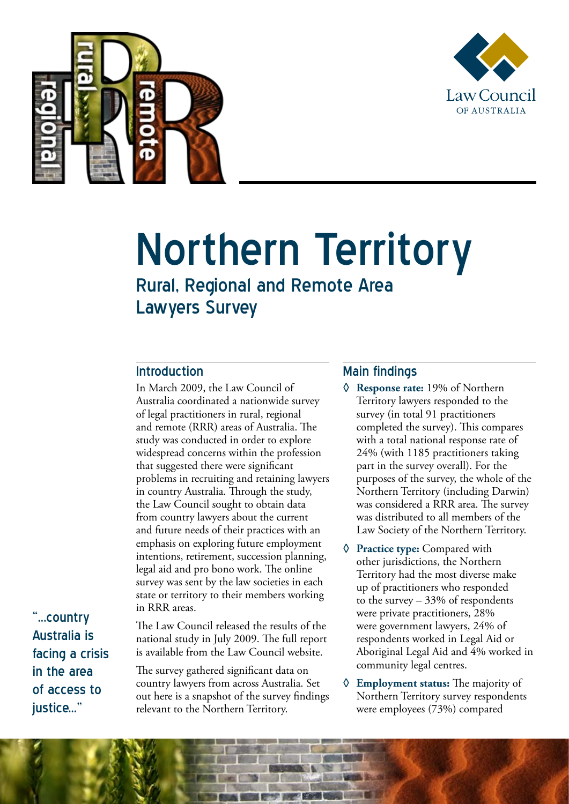



# Northern Territory

## Rural, Regional and Remote Area Lawyers Survey

### Introduction

In March 2009, the Law Council of Australia coordinated a nationwide survey of legal practitioners in rural, regional and remote (RRR) areas of Australia. The study was conducted in order to explore widespread concerns within the profession that suggested there were significant problems in recruiting and retaining lawyers in country Australia. Through the study, the Law Council sought to obtain data from country lawyers about the current and future needs of their practices with an emphasis on exploring future employment intentions, retirement, succession planning, legal aid and pro bono work. The online survey was sent by the law societies in each state or territory to their members working in RRR areas.

"...country Australia is facing a crisis in the area of access to iustice..."

The Law Council released the results of the national study in July 2009. The full report is available from the Law Council website.

The survey gathered significant data on country lawyers from across Australia. Set out here is a snapshot of the survey findings relevant to the Northern Territory.

#### Main findings

- **◊ Response rate:** 19% of Northern Territory lawyers responded to the survey (in total 91 practitioners completed the survey). This compares with a total national response rate of 24% (with 1185 practitioners taking part in the survey overall). For the purposes of the survey, the whole of the Northern Territory (including Darwin) was considered a RRR area. The survey was distributed to all members of the Law Society of the Northern Territory.
- **◊ Practice type:** Compared with other jurisdictions, the Northern Territory had the most diverse make up of practitioners who responded to the survey – 33% of respondents were private practitioners, 28% were government lawyers, 24% of respondents worked in Legal Aid or Aboriginal Legal Aid and 4% worked in community legal centres.
- **◊ Employment status:** The majority of Northern Territory survey respondents were employees (73%) compared